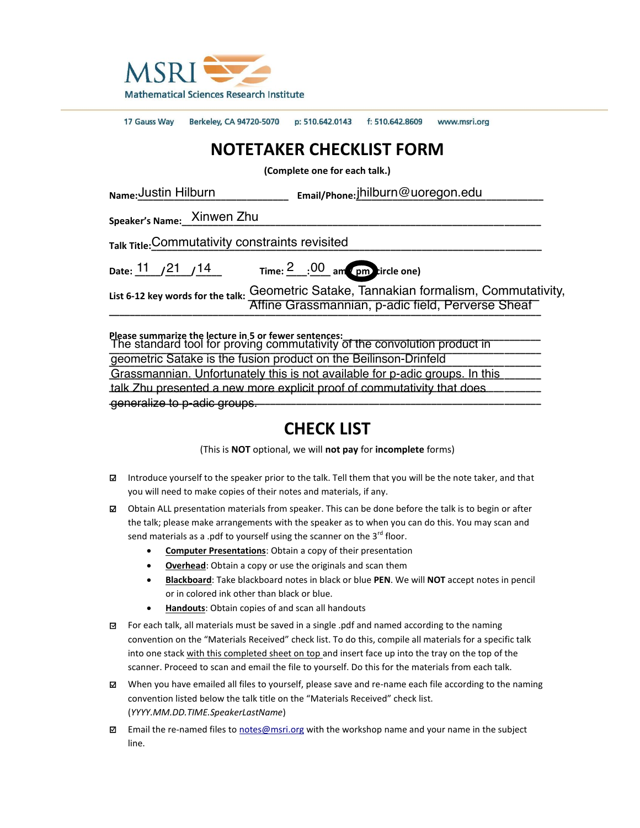

17 Gauss Way Berkeley, CA 94720-5070 p: 510.642.0143 f: 510.642.8609 www.msri.org

## **NOTETAKER CHECKLIST FORM**

**(Complete one for each talk.)**

| Name: Justin Hilburn                            | Email/Phone: Jhilburn@uoregon.edu                                                                                                  |
|-------------------------------------------------|------------------------------------------------------------------------------------------------------------------------------------|
| Speaker's Name: Xinwen Zhu                      |                                                                                                                                    |
| Talk Title: Commutativity constraints revisited |                                                                                                                                    |
| Date: $11 / 21 / 14$                            | Time: $\frac{2}{100}$ : 00 am (pm) tircle one)                                                                                     |
| List 6-12 key words for the talk:               | Geometric Satake, Tannakian formalism, Commutativity,<br>Affine Grassmannian, p-adic field, Perverse Sheaf                         |
|                                                 | Please summarize the lecture in 5 or fewer sentences:<br>The standard tool for proving commutativity of the convolution product in |
|                                                 | geometric Satake is the fusion product on the Beilinson-Drinfeld                                                                   |

Grassmannian. Unfortunately this is not available for p-adic groups. In this talk Zhu presented a new more explicit proof of commutativity that does **\_\_\_\_\_\_\_\_\_\_\_\_\_\_\_\_\_\_\_\_\_\_\_\_\_\_\_\_\_\_\_\_\_\_\_\_\_\_\_\_\_\_\_\_\_\_\_\_\_\_\_\_\_\_\_\_\_\_\_\_\_\_\_\_\_\_\_\_\_\_\_\_\_\_\_\_\_\_\_\_\_\_\_** generalize to p-adic groups.

## **CHECK LIST**

(This is **NOT** optional, we will **not pay** for **incomplete** forms)

- □ Introduce yourself to the speaker prior to the talk. Tell them that you will be the note taker, and that you will need to make copies of their notes and materials, if any.
- □ Obtain ALL presentation materials from speaker. This can be done before the talk is to begin or after the talk; please make arrangements with the speaker as to when you can do this. You may scan and send materials as a .pdf to yourself using the scanner on the  $3^{rd}$  floor.
	- **Computer Presentations:** Obtain a copy of their presentation
	- **Overhead:** Obtain a copy or use the originals and scan them
	- x **Blackboard**: Take blackboard notes in black or blue **PEN**. We will **NOT** accept notes in pencil or in colored ink other than black or blue.
	- Handouts: Obtain copies of and scan all handouts
- □ For each talk, all materials must be saved in a single .pdf and named according to the naming convention on the "Materials Received" check list. To do this, compile all materials for a specific talk into one stack with this completed sheet on top and insert face up into the tray on the top of the scanner. Proceed to scan and email the file to yourself. Do this for the materials from each talk.
- □ When you have emailed all files to yourself, please save and re-name each file according to the naming convention listed below the talk title on the "Materials Received" check list. (*YYYY.MM.DD.TIME.SpeakerLastName*)
- □ Email the re-named files to [notes@msri.org](mailto:notes@msri.org) with the workshop name and your name in the subject line.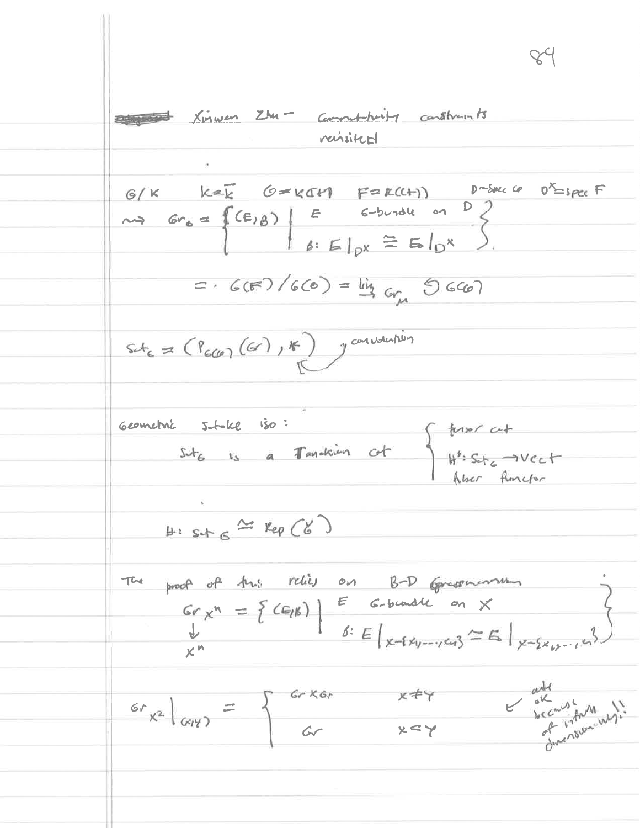Dansburg Xinwen Zhu - Comment-brity constructs revisited  $G/K$  kek G=KCH F=KCH)  $D=5\pi c G$  o<sup>x</sup>=spcc F<br>
as  $Gr_6 = \left\{ (E/\beta) \middle| E = 6-br_1dL \text{ on } D \right\}$ <br>  $\beta: E|_{px} \cong E|_{D} \times$  $=6(F)/(6C) = \frac{1}{4} Gr_{\mu} (C)$  $st_{6} = (P_{600}(G), F)$  y corrollation Geometric stoke iso: suble 150:<br>Sut 615 a Tandaien of West West  $H: s.t. c \cong Kep(C6)$ The proof of this relies on B-D Grassmonth Gr  $x^n = \{ (G_i)^k \}$   $\begin{array}{|l|} \hline \text{G-bundle} & \text{on} & \text{X} \\ \hline \text{K}^n & \hline \end{array}$   $\begin{array}{|l|} \hline \text{G-bundle} & \text{on} & \text{X} \\ \hline \text{K}^n & \hline \end{array}$ and all the Mary !!  $G_{x^2}|_{G(Y)} = \begin{cases} GrXGr & x \neq r \\ Gr & x \leq r \end{cases}$  $x \leq y$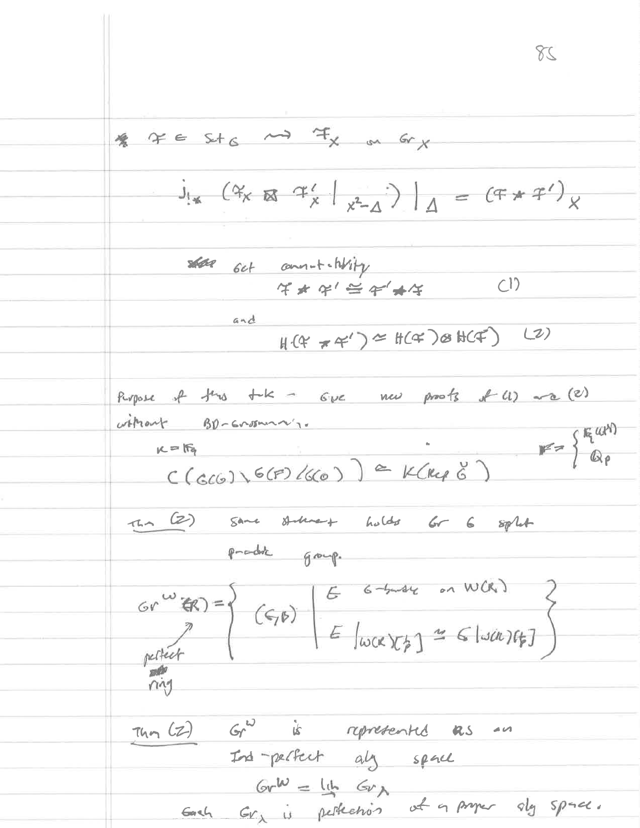$82$  $\n *g*\n *g*\n *g*\n *g*\n *g*\n *h*\n *g*\n *h*\n *h*\n *h*\n *h*\n *h*\n *h*\n *h*\n *h*\n *h*\n *h*\n *h*\n *h*\n *h*\n *h*\n *h*\n *h*\n *h*\n$  $J_{\frac{1}{2}}(4x \otimes 4\frac{1}{x})_{x^2-1})$  =  $(F * F')$  $\frac{1}{4*4*1}$  $and$  $H(f \star f)^{\alpha} = H(f \star g)(f(f))$  (2) Purpose of this tak - Gue new poots of (1) and (2) without BD-Grosning.  $C(GCG) \setminus G(F)/G(G)$  = K(Rep  $S$ ) =  $K(R)$ The (2) same statute to holds for 6 split product group. **DAY**  $\frac{1}{14n}(2)$   $Gr<sup>2</sup>$  is represented as an Ind-perfect all space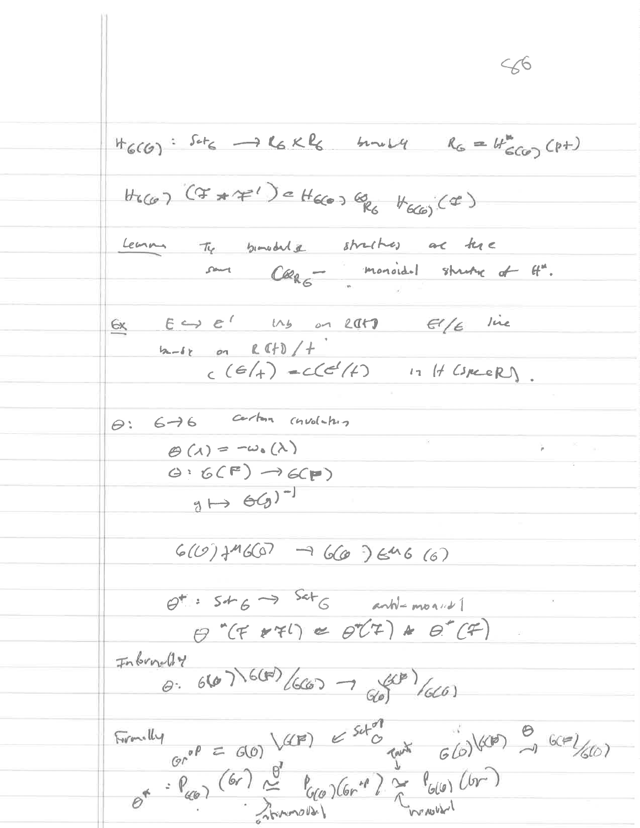$56$  $H_G(G): Sct_G \longrightarrow L_G \times L_G \longrightarrow H \times L_H \longrightarrow R_G = H_{G(G)}^{*}(p+1)$  $H_{6(a)}$  (I  $\pi$  ) =  $H_{6(a)}$  (B)  $H_{6(a)}$  (I) Learn Ty binodule straction are tere sour Cleage monoidel strutte of H".  $6x$   $64 e'$   $14$  on  $201$   $616$  live  $2-6z$  on  $R$  (f) / +  $c(6/4)$  =  $c(c^{2}/4)$   $17$  H (speeR)  $\theta$ :  $6-16$  certain chuolatus  $\Theta(\lambda) = -\omega_{0}(\lambda)$  $\leq$ y Ka  $G: G(F) \rightarrow G(F)$  $g \mapsto \Theta(g)^{-1}$  $G(U)$  fMG(G)  $\rightarrow$  660 )  $646(6)$  $\theta^{\dagger}$ :  $546 \rightarrow 546$  anti-month  $\theta''(f\star fI) \approx \theta'(I) \star \theta'(f)$ Inbroad y  $0.6671600/(6007 - 600)(600)$ Formally  $\frac{Gr^{\circ P}}{Gr^{\circ P}} = G(0)$  (CCP)  $\leq \frac{5ct^{\circ P}}{6wt^{\circ}} = \frac{G(0)}{6wt^{\circ}} = \frac{G(0)}{6wt^{\circ}} = \frac{G(0)}{6wt^{\circ}} = \frac{G(0)}{6wt^{\circ}} = \frac{G(0)}{6wt^{\circ}} = \frac{G(0)}{6wt^{\circ}} = \frac{G(0)}{6wt^{\circ}} = \frac{G(0)}{6wt^{\circ}} = \frac{G(0)}{6wt^{\circ}} = \frac{G(0)}{6wt^{\circ}} = \frac{G(0)}{$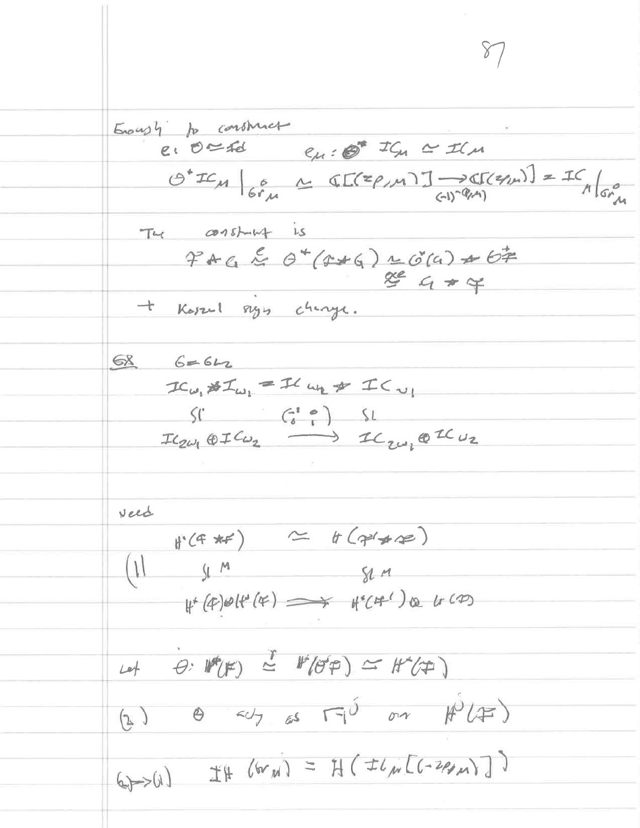Enough to construct  $e: 0 \le fd$   $e_{\mu}: 0^* \le C_{\mu} \le L$  $O^*IC_M \Big|_{G^*M} \simeq \mathbb{C}[\mathbb{C}^2 \rho_{M} \mathbb{1}] \longrightarrow \mathbb{C}[\mathbb{C}^2 \rho_{M}] = \mathbb{C}[\rho_{M} \rho_{M}]$ The constant is  $47ACE0+(4*(1+6)(4)+67)$  $864+4$ + Koszul sign chinge.  $6862$  $IC_{\omega_1} \# I_{\omega_2} = Il_{\omega_2} \# I_{\omega_1}$  $S($   $G^e)$   $\Omega$  $IC_{2\omega_1}\oplus IC_{\omega_2} \longrightarrow IC_{2\omega_1}\oplus IC_{\omega_2}$ veed  $H(G*F)$   $\simeq H(\gamma*F)$  $(1)$   $\int$   $M$   $\int$   $\int$   $M$  $H^*(4)\emptyset H^*(4) \implies H^*(4^4) \otimes H^{(4)}$ Let  $\theta$ :  $W(F) \simeq W(\theta^*F) \simeq W(F)$  $(2)$   $\theta$   $\sim$   $\sim$   $\sqrt{3}$  or  $\#U(F)$  $470)$  If  $(600) = H (t/m[(-200)]]$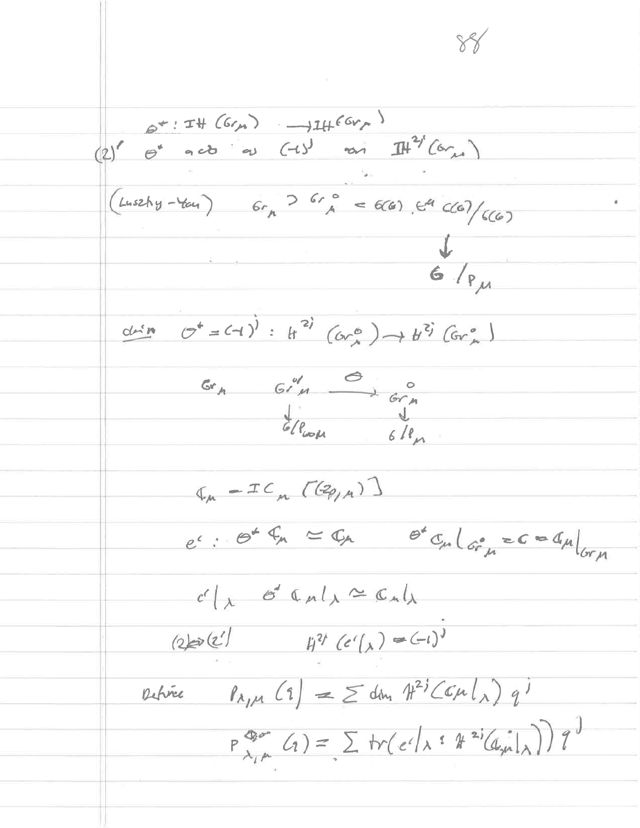$6* : 74 (6r), \longrightarrow 14 (6r)$ <br>(2)  $\theta^{*}$  acts as  $(-15)$  as  $\pi^{2}$  (6m)  $(Lussky - Yau)$   $6r_{h}$   $> 6r_{h}$   $= 6(6)$   $64$   $C(6)/C(6)$  $\frac{1}{6}$ drin  $C^* = (-1)^j : H^{2j}(Cr_{A}^{c}) \rightarrow H^{2j}(Cr_{A}^{c})$  $rac{Gr_n}{Gr_n}$   $rac{Gr'_n}{Gr_n}$   $rac{Gr_n}{Gr_n}$  $I_{\mu}$  -IC  $[(Eq_{\mu})]$  $e^c$ :  $e^2 \xi_n \approx \zeta_n$   $e^c \zeta_n \big|_{G^o_{\mu}} \geq c \approx d_{\mu} \big|_{G \cap \mu}$  $c' \Big|_{\lambda}$  o' Cult = Cult  $(2)$   $(2)$   $11$   $(2)$   $(-1)$ Detrie  $\lceil \lambda_{1,\mu}(1) \rceil = \sum dm_n \pi^{2}(\mathcal{L} \mu|_{\lambda}) q^{j}$  $P_{\lambda_{i} \mu}^{\Phi_{i} \nu_{i}}(q) = \sum tr(e^{i|x|} \hat{x}^{2i}(q_{i} | x)) q^{j}$